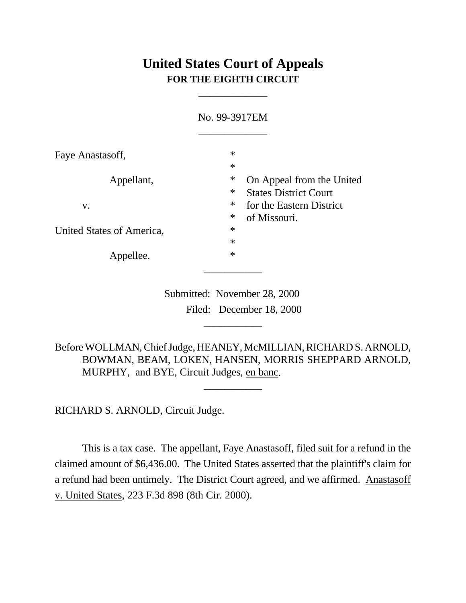## **United States Court of Appeals FOR THE EIGHTH CIRCUIT**

\_\_\_\_\_\_\_\_\_\_\_\_\_

|                           | No. 99-3917EM                                                                 |  |
|---------------------------|-------------------------------------------------------------------------------|--|
| Faye Anastasoff,          | $\ast$<br>$\ast$                                                              |  |
| Appellant,                | $\ast$<br>On Appeal from the United<br>$\ast$<br><b>States District Court</b> |  |
| V.                        | $\ast$<br>for the Eastern District<br>$\ast$<br>of Missouri.                  |  |
| United States of America, | $\ast$<br>$\ast$                                                              |  |
| Appellee.                 | $\ast$                                                                        |  |

 Submitted: November 28, 2000 Filed: December 18, 2000

\_\_\_\_\_\_\_\_\_\_\_

Before WOLLMAN, Chief Judge, HEANEY, McMILLIAN, RICHARD S. ARNOLD, BOWMAN, BEAM, LOKEN, HANSEN, MORRIS SHEPPARD ARNOLD, MURPHY, and BYE, Circuit Judges, en banc.

\_\_\_\_\_\_\_\_\_\_\_

RICHARD S. ARNOLD, Circuit Judge.

This is a tax case. The appellant, Faye Anastasoff, filed suit for a refund in the claimed amount of \$6,436.00. The United States asserted that the plaintiff's claim for a refund had been untimely. The District Court agreed, and we affirmed. Anastasoff v. United States, 223 F.3d 898 (8th Cir. 2000).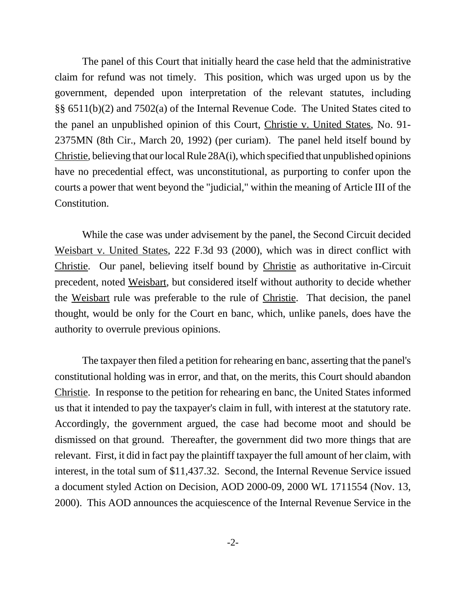The panel of this Court that initially heard the case held that the administrative claim for refund was not timely. This position, which was urged upon us by the government, depended upon interpretation of the relevant statutes, including §§ 6511(b)(2) and 7502(a) of the Internal Revenue Code. The United States cited to the panel an unpublished opinion of this Court, Christie v. United States, No. 91- 2375MN (8th Cir., March 20, 1992) (per curiam). The panel held itself bound by Christie, believing that our local Rule 28A(i), which specified that unpublished opinions have no precedential effect, was unconstitutional, as purporting to confer upon the courts a power that went beyond the "judicial," within the meaning of Article III of the Constitution.

While the case was under advisement by the panel, the Second Circuit decided Weisbart v. United States, 222 F.3d 93 (2000), which was in direct conflict with Christie. Our panel, believing itself bound by Christie as authoritative in-Circuit precedent, noted Weisbart, but considered itself without authority to decide whether the Weisbart rule was preferable to the rule of Christie. That decision, the panel thought, would be only for the Court en banc, which, unlike panels, does have the authority to overrule previous opinions.

The taxpayer then filed a petition for rehearing en banc, asserting that the panel's constitutional holding was in error, and that, on the merits, this Court should abandon Christie. In response to the petition for rehearing en banc, the United States informed us that it intended to pay the taxpayer's claim in full, with interest at the statutory rate. Accordingly, the government argued, the case had become moot and should be dismissed on that ground. Thereafter, the government did two more things that are relevant. First, it did in fact pay the plaintiff taxpayer the full amount of her claim, with interest, in the total sum of \$11,437.32. Second, the Internal Revenue Service issued a document styled Action on Decision, AOD 2000-09, 2000 WL 1711554 (Nov. 13, 2000). This AOD announces the acquiescence of the Internal Revenue Service in the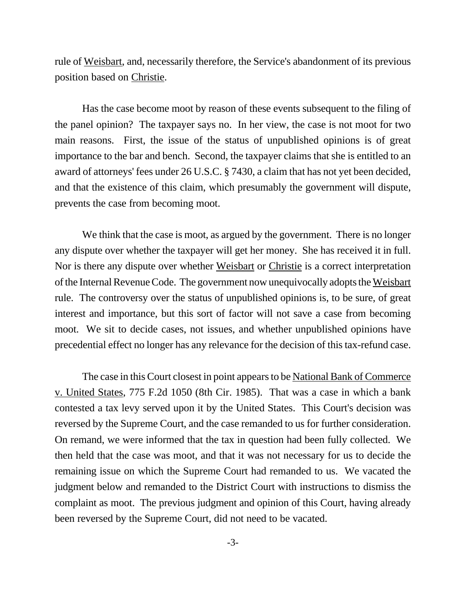rule of Weisbart, and, necessarily therefore, the Service's abandonment of its previous position based on Christie.

Has the case become moot by reason of these events subsequent to the filing of the panel opinion? The taxpayer says no. In her view, the case is not moot for two main reasons. First, the issue of the status of unpublished opinions is of great importance to the bar and bench. Second, the taxpayer claims that she is entitled to an award of attorneys' fees under 26 U.S.C. § 7430, a claim that has not yet been decided, and that the existence of this claim, which presumably the government will dispute, prevents the case from becoming moot.

We think that the case is moot, as argued by the government. There is no longer any dispute over whether the taxpayer will get her money. She has received it in full. Nor is there any dispute over whether Weisbart or Christie is a correct interpretation of the Internal Revenue Code. The government now unequivocally adopts the Weisbart rule. The controversy over the status of unpublished opinions is, to be sure, of great interest and importance, but this sort of factor will not save a case from becoming moot. We sit to decide cases, not issues, and whether unpublished opinions have precedential effect no longer has any relevance for the decision of this tax-refund case.

The case in this Court closest in point appears to be National Bank of Commerce v. United States, 775 F.2d 1050 (8th Cir. 1985). That was a case in which a bank contested a tax levy served upon it by the United States. This Court's decision was reversed by the Supreme Court, and the case remanded to us for further consideration. On remand, we were informed that the tax in question had been fully collected. We then held that the case was moot, and that it was not necessary for us to decide the remaining issue on which the Supreme Court had remanded to us. We vacated the judgment below and remanded to the District Court with instructions to dismiss the complaint as moot. The previous judgment and opinion of this Court, having already been reversed by the Supreme Court, did not need to be vacated.